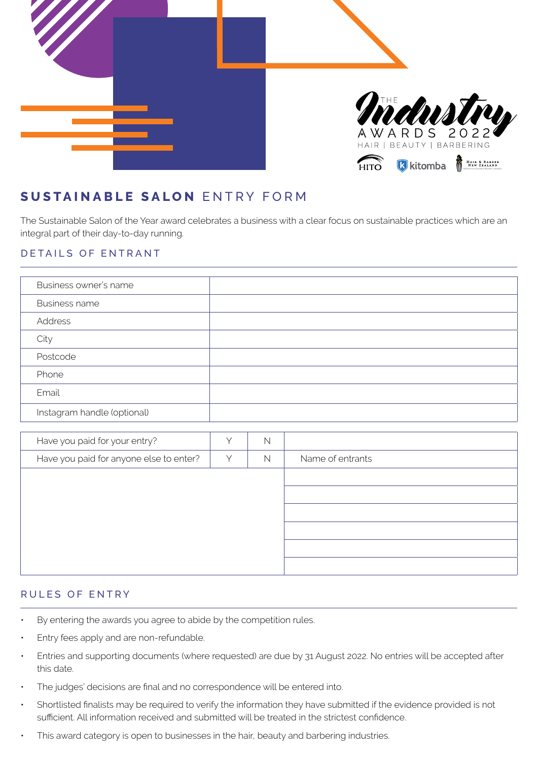

# **SUSTAINABLE SALON** ENTRY FORM

The Sustainable Salon of the Year award celebrates a business with a clear focus on sustainable practices which are an integral part of their day-to-day running.

### DETAILS OF ENTRANT

| Business owner's name       |  |
|-----------------------------|--|
| <b>Business name</b>        |  |
| Address                     |  |
| City                        |  |
| Postcode                    |  |
| Phone                       |  |
| Email                       |  |
| Instagram handle (optional) |  |

| Have you paid for your entry?           |   | N |                  |
|-----------------------------------------|---|---|------------------|
| Have you paid for anyone else to enter? | Υ | N | Name of entrants |
|                                         |   |   |                  |
|                                         |   |   |                  |
|                                         |   |   |                  |
|                                         |   |   |                  |
|                                         |   |   |                  |
|                                         |   |   |                  |

#### RULES OF ENTRY

- By entering the awards you agree to abide by the competition rules.
- Entry fees apply and are non-refundable.
- Entries and supporting documents (where requested) are due by 31 August 2022. No entries will be accepted after this date.
- The judges' decisions are final and no correspondence will be entered into.
- Shortlisted finalists may be required to verify the information they have submitted if the evidence provided is not sufficient. All information received and submitted will be treated in the strictest confidence.
- This award category is open to businesses in the hair, beauty and barbering industries.